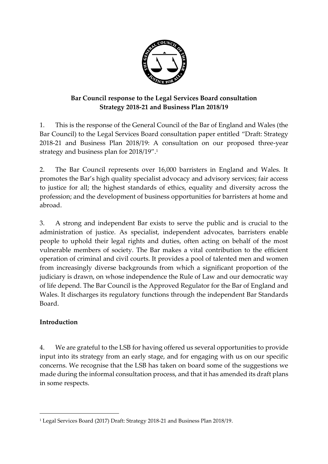

### **Bar Council response to the Legal Services Board consultation Strategy 2018-21 and Business Plan 2018/19**

1. This is the response of the General Council of the Bar of England and Wales (the Bar Council) to the Legal Services Board consultation paper entitled "Draft: Strategy 2018-21 and Business Plan 2018/19: A consultation on our proposed three-year strategy and business plan for 2018/19". 1

2. The Bar Council represents over 16,000 barristers in England and Wales. It promotes the Bar's high quality specialist advocacy and advisory services; fair access to justice for all; the highest standards of ethics, equality and diversity across the profession; and the development of business opportunities for barristers at home and abroad.

3. A strong and independent Bar exists to serve the public and is crucial to the administration of justice. As specialist, independent advocates, barristers enable people to uphold their legal rights and duties, often acting on behalf of the most vulnerable members of society. The Bar makes a vital contribution to the efficient operation of criminal and civil courts. It provides a pool of talented men and women from increasingly diverse backgrounds from which a significant proportion of the judiciary is drawn, on whose independence the Rule of Law and our democratic way of life depend. The Bar Council is the Approved Regulator for the Bar of England and Wales. It discharges its regulatory functions through the independent Bar Standards Board.

### **Introduction**

4. We are grateful to the LSB for having offered us several opportunities to provide input into its strategy from an early stage, and for engaging with us on our specific concerns. We recognise that the LSB has taken on board some of the suggestions we made during the informal consultation process, and that it has amended its draft plans in some respects.

<sup>-</sup><sup>1</sup> [Legal Services Board \(2017\) Draft: Strategy 2018-21 and Business Plan 2018/19.](http://www.legalservicesboard.org.uk/what_we_do/consultations/open/pdf/2017/Strategy_and_business_plan_consultation_paper.pdf)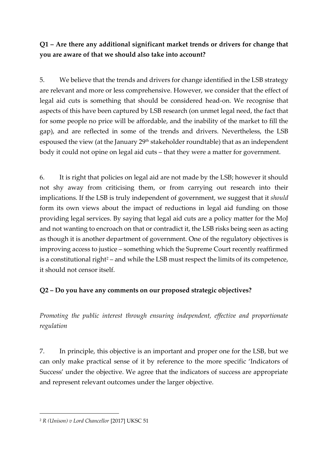**Q1 – Are there any additional significant market trends or drivers for change that you are aware of that we should also take into account?**

5. We believe that the trends and drivers for change identified in the LSB strategy are relevant and more or less comprehensive. However, we consider that the effect of legal aid cuts is something that should be considered head-on. We recognise that aspects of this have been captured by LSB research (on unmet legal need, the fact that for some people no price will be affordable, and the inability of the market to fill the gap), and are reflected in some of the trends and drivers. Nevertheless, the LSB espoused the view (at the January 29<sup>th</sup> stakeholder roundtable) that as an independent body it could not opine on legal aid cuts – that they were a matter for government.

6. It is right that policies on legal aid are not made by the LSB; however it should not shy away from criticising them, or from carrying out research into their implications. If the LSB is truly independent of government, we suggest that it *should* form its own views about the impact of reductions in legal aid funding on those providing legal services. By saying that legal aid cuts are a policy matter for the MoJ and not wanting to encroach on that or contradict it, the LSB risks being seen as acting as though it is another department of government. One of the regulatory objectives is improving access to justice – something which the Supreme Court recently reaffirmed is a constitutional right<sup>2</sup> – and while the LSB must respect the limits of its competence, it should not censor itself.

### **Q2 – Do you have any comments on our proposed strategic objectives?**

*Promoting the public interest through ensuring independent, effective and proportionate regulation*

7. In principle, this objective is an important and proper one for the LSB, but we can only make practical sense of it by reference to the more specific 'Indicators of Success' under the objective. We agree that the indicators of success are appropriate and represent relevant outcomes under the larger objective.

-

<sup>2</sup> *R (Unison) v Lord Chancellor* [2017] UKSC 51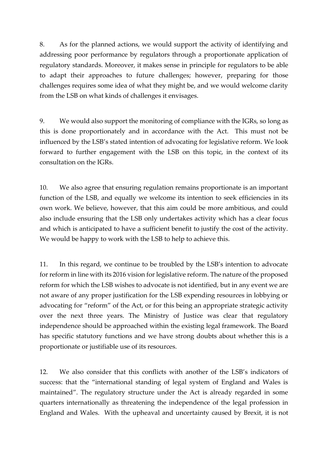8. As for the planned actions, we would support the activity of identifying and addressing poor performance by regulators through a proportionate application of regulatory standards. Moreover, it makes sense in principle for regulators to be able to adapt their approaches to future challenges; however, preparing for those challenges requires some idea of what they might be, and we would welcome clarity from the LSB on what kinds of challenges it envisages.

9. We would also support the monitoring of compliance with the IGRs, so long as this is done proportionately and in accordance with the Act. This must not be influenced by the LSB's stated intention of advocating for legislative reform. We look forward to further engagement with the LSB on this topic, in the context of its consultation on the IGRs.

10. We also agree that ensuring regulation remains proportionate is an important function of the LSB, and equally we welcome its intention to seek efficiencies in its own work. We believe, however, that this aim could be more ambitious, and could also include ensuring that the LSB only undertakes activity which has a clear focus and which is anticipated to have a sufficient benefit to justify the cost of the activity. We would be happy to work with the LSB to help to achieve this.

11. In this regard, we continue to be troubled by the LSB's intention to advocate for reform in line with its 2016 vision for legislative reform. The nature of the proposed reform for which the LSB wishes to advocate is not identified, but in any event we are not aware of any proper justification for the LSB expending resources in lobbying or advocating for "reform" of the Act, or for this being an appropriate strategic activity over the next three years. The Ministry of Justice was clear that regulatory independence should be approached within the existing legal framework. The Board has specific statutory functions and we have strong doubts about whether this is a proportionate or justifiable use of its resources.

12. We also consider that this conflicts with another of the LSB's indicators of success: that the "international standing of legal system of England and Wales is maintained". The regulatory structure under the Act is already regarded in some quarters internationally as threatening the independence of the legal profession in England and Wales. With the upheaval and uncertainty caused by Brexit, it is not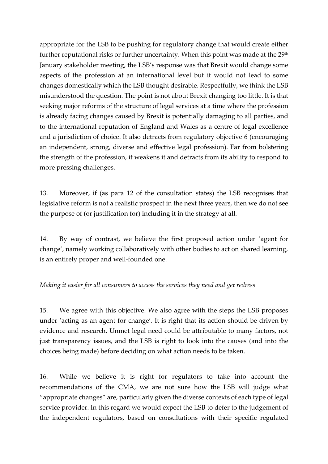appropriate for the LSB to be pushing for regulatory change that would create either further reputational risks or further uncertainty. When this point was made at the 29<sup>th</sup> January stakeholder meeting, the LSB's response was that Brexit would change some aspects of the profession at an international level but it would not lead to some changes domestically which the LSB thought desirable. Respectfully, we think the LSB misunderstood the question. The point is not about Brexit changing too little. It is that seeking major reforms of the structure of legal services at a time where the profession is already facing changes caused by Brexit is potentially damaging to all parties, and to the international reputation of England and Wales as a centre of legal excellence and a jurisdiction of choice. It also detracts from regulatory objective 6 (encouraging an independent, strong, diverse and effective legal profession). Far from bolstering the strength of the profession, it weakens it and detracts from its ability to respond to more pressing challenges.

13. Moreover, if (as para 12 of the consultation states) the LSB recognises that legislative reform is not a realistic prospect in the next three years, then we do not see the purpose of (or justification for) including it in the strategy at all.

14. By way of contrast, we believe the first proposed action under 'agent for change', namely working collaboratively with other bodies to act on shared learning, is an entirely proper and well-founded one.

#### *Making it easier for all consumers to access the services they need and get redress*

15. We agree with this objective. We also agree with the steps the LSB proposes under 'acting as an agent for change'. It is right that its action should be driven by evidence and research. Unmet legal need could be attributable to many factors, not just transparency issues, and the LSB is right to look into the causes (and into the choices being made) before deciding on what action needs to be taken.

16. While we believe it is right for regulators to take into account the recommendations of the CMA, we are not sure how the LSB will judge what "appropriate changes" are, particularly given the diverse contexts of each type of legal service provider. In this regard we would expect the LSB to defer to the judgement of the independent regulators, based on consultations with their specific regulated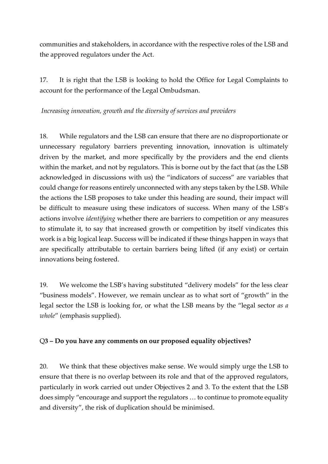communities and stakeholders, in accordance with the respective roles of the LSB and the approved regulators under the Act.

17. It is right that the LSB is looking to hold the Office for Legal Complaints to account for the performance of the Legal Ombudsman.

*Increasing innovation, growth and the diversity of services and providers*

18. While regulators and the LSB can ensure that there are no disproportionate or unnecessary regulatory barriers preventing innovation, innovation is ultimately driven by the market, and more specifically by the providers and the end clients within the market, and not by regulators. This is borne out by the fact that (as the LSB acknowledged in discussions with us) the "indicators of success" are variables that could change for reasons entirely unconnected with any steps taken by the LSB. While the actions the LSB proposes to take under this heading are sound, their impact will be difficult to measure using these indicators of success. When many of the LSB's actions involve *identifying* whether there are barriers to competition or any measures to stimulate it, to say that increased growth or competition by itself vindicates this work is a big logical leap. Success will be indicated if these things happen in ways that are specifically attributable to certain barriers being lifted (if any exist) or certain innovations being fostered.

19. We welcome the LSB's having substituted "delivery models" for the less clear "business models". However, we remain unclear as to what sort of "growth" in the legal sector the LSB is looking for, or what the LSB means by the "legal sector *as a whole*" (emphasis supplied).

### Q**3 – Do you have any comments on our proposed equality objectives?**

20. We think that these objectives make sense. We would simply urge the LSB to ensure that there is no overlap between its role and that of the approved regulators, particularly in work carried out under Objectives 2 and 3. To the extent that the LSB does simply "encourage and support the regulators … to continue to promote equality and diversity", the risk of duplication should be minimised.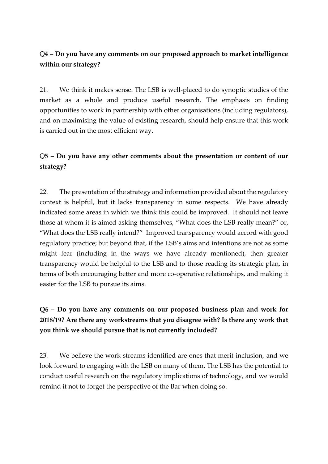### Q**4 – Do you have any comments on our proposed approach to market intelligence within our strategy?**

21. We think it makes sense. The LSB is well-placed to do synoptic studies of the market as a whole and produce useful research. The emphasis on finding opportunities to work in partnership with other organisations (including regulators), and on maximising the value of existing research, should help ensure that this work is carried out in the most efficient way.

## Q**5 – Do you have any other comments about the presentation or content of our strategy?**

22. The presentation of the strategy and information provided about the regulatory context is helpful, but it lacks transparency in some respects. We have already indicated some areas in which we think this could be improved. It should not leave those at whom it is aimed asking themselves, "What does the LSB really mean?" or, "What does the LSB really intend?" Improved transparency would accord with good regulatory practice; but beyond that, if the LSB's aims and intentions are not as some might fear (including in the ways we have already mentioned), then greater transparency would be helpful to the LSB and to those reading its strategic plan, in terms of both encouraging better and more co-operative relationships, and making it easier for the LSB to pursue its aims.

## **Q6 – Do you have any comments on our proposed business plan and work for 2018/19? Are there any workstreams that you disagree with? Is there any work that you think we should pursue that is not currently included?**

23. We believe the work streams identified are ones that merit inclusion, and we look forward to engaging with the LSB on many of them. The LSB has the potential to conduct useful research on the regulatory implications of technology, and we would remind it not to forget the perspective of the Bar when doing so.